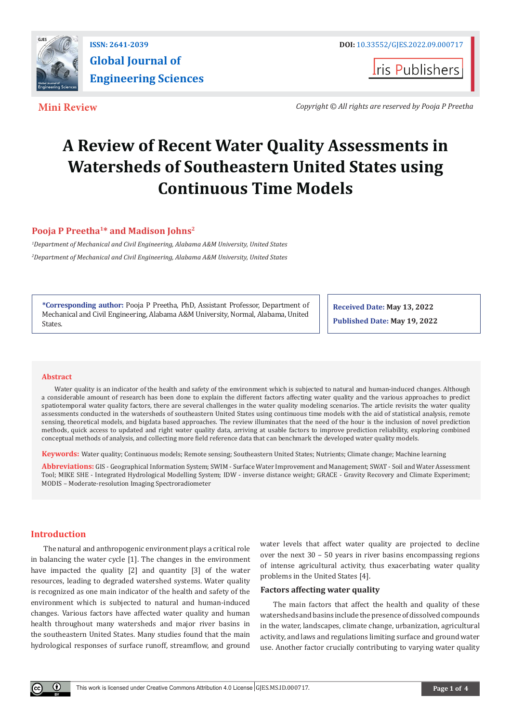

**Iris Publishers** 

**Mini Review** *Copyright © All rights are reserved by Pooja P Preetha*

# **A Review of Recent Water Quality Assessments in Watersheds of Southeastern United States using Continuous Time Models**

# **Pooja P Preetha1\* and Madison Johns2**

*1 Department of Mechanical and Civil Engineering, Alabama A&M University, United States 2 Department of Mechanical and Civil Engineering, Alabama A&M University, United States*

**\*Corresponding author:** Pooja P Preetha, PhD, Assistant Professor, Department of Mechanical and Civil Engineering, Alabama A&M University, Normal, Alabama, United States.

**Received Date: May 13, 2022 Published Date: May 19, 2022**

### **Abstract**

Water quality is an indicator of the health and safety of the environment which is subjected to natural and human-induced changes. Although a considerable amount of research has been done to explain the different factors affecting water quality and the various approaches to predict spatiotemporal water quality factors, there are several challenges in the water quality modeling scenarios. The article revisits the water quality assessments conducted in the watersheds of southeastern United States using continuous time models with the aid of statistical analysis, remote sensing, theoretical models, and bigdata based approaches. The review illuminates that the need of the hour is the inclusion of novel prediction methods, quick access to updated and right water quality data, arriving at usable factors to improve prediction reliability, exploring combined conceptual methods of analysis, and collecting more field reference data that can benchmark the developed water quality models.

**Keywords:** Water quality; Continuous models; Remote sensing; Southeastern United States; Nutrients; Climate change; Machine learning

**Abbreviations:** GIS - Geographical Information System; SWIM - Surface Water Improvement and Management; SWAT - Soil and Water Assessment Tool; MIKE SHE - Integrated Hydrological Modelling System; IDW - inverse distance weight; GRACE - Gravity Recovery and Climate Experiment; MODIS – Moderate-resolution Imaging Spectroradiometer

# **Introduction**

The natural and anthropogenic environment plays a critical role in balancing the water cycle [1]. The changes in the environment have impacted the quality [2] and quantity [3] of the water resources, leading to degraded watershed systems. Water quality is recognized as one main indicator of the health and safety of the environment which is subjected to natural and human-induced changes. Various factors have affected water quality and human health throughout many watersheds and major river basins in the southeastern United States. Many studies found that the main hydrological responses of surface runoff, streamflow, and ground water levels that affect water quality are projected to decline over the next 30 – 50 years in river basins encompassing regions of intense agricultural activity, thus exacerbating water quality problems in the United States [4].

### **Factors affecting water quality**

The main factors that affect the health and quality of these watersheds and basins include the presence of dissolved compounds in the water, landscapes, climate change, urbanization, agricultural activity, and laws and regulations limiting surface and ground water use. Another factor crucially contributing to varying water quality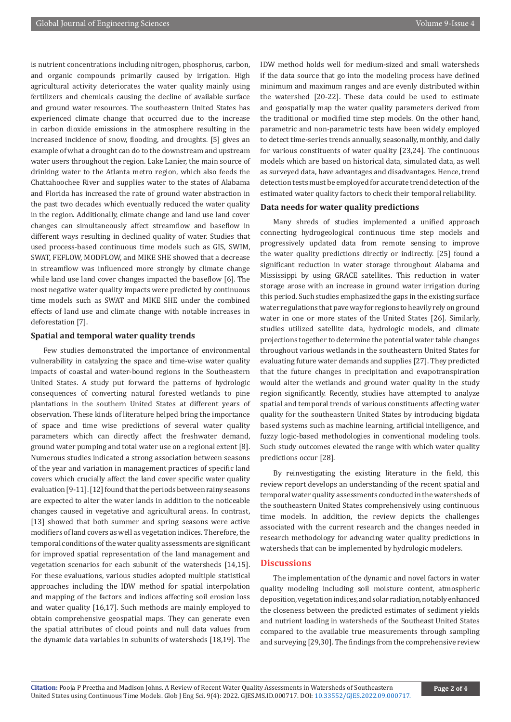is nutrient concentrations including nitrogen, phosphorus, carbon, and organic compounds primarily caused by irrigation. High agricultural activity deteriorates the water quality mainly using fertilizers and chemicals causing the decline of available surface and ground water resources. The southeastern United States has experienced climate change that occurred due to the increase in carbon dioxide emissions in the atmosphere resulting in the increased incidence of snow, flooding, and droughts. [5] gives an example of what a drought can do to the downstream and upstream water users throughout the region. Lake Lanier, the main source of drinking water to the Atlanta metro region, which also feeds the Chattahoochee River and supplies water to the states of Alabama and Florida has increased the rate of ground water abstraction in the past two decades which eventually reduced the water quality in the region. Additionally, climate change and land use land cover changes can simultaneously affect streamflow and baseflow in different ways resulting in declined quality of water. Studies that used process-based continuous time models such as GIS, SWIM, SWAT, FEFLOW, MODFLOW, and MIKE SHE showed that a decrease in streamflow was influenced more strongly by climate change while land use land cover changes impacted the baseflow [6]. The most negative water quality impacts were predicted by continuous time models such as SWAT and MIKE SHE under the combined effects of land use and climate change with notable increases in deforestation [7].

### **Spatial and temporal water quality trends**

Few studies demonstrated the importance of environmental vulnerability in catalyzing the space and time-wise water quality impacts of coastal and water-bound regions in the Southeastern United States. A study put forward the patterns of hydrologic consequences of converting natural forested wetlands to pine plantations in the southern United States at different years of observation. These kinds of literature helped bring the importance of space and time wise predictions of several water quality parameters which can directly affect the freshwater demand, ground water pumping and total water use on a regional extent [8]. Numerous studies indicated a strong association between seasons of the year and variation in management practices of specific land covers which crucially affect the land cover specific water quality evaluation [9-11]. [12] found that the periods between rainy seasons are expected to alter the water lands in addition to the noticeable changes caused in vegetative and agricultural areas. In contrast, [13] showed that both summer and spring seasons were active modifiers of land covers as well as vegetation indices. Therefore, the temporal conditions of the water quality assessments are significant for improved spatial representation of the land management and vegetation scenarios for each subunit of the watersheds [14,15]. For these evaluations, various studies adopted multiple statistical approaches including the IDW method for spatial interpolation and mapping of the factors and indices affecting soil erosion loss and water quality [16,17]. Such methods are mainly employed to obtain comprehensive geospatial maps. They can generate even the spatial attributes of cloud points and null data values from the dynamic data variables in subunits of watersheds [18,19]. The IDW method holds well for medium-sized and small watersheds if the data source that go into the modeling process have defined minimum and maximum ranges and are evenly distributed within the watershed [20-22]. These data could be used to estimate and geospatially map the water quality parameters derived from the traditional or modified time step models. On the other hand, parametric and non-parametric tests have been widely employed to detect time-series trends annually, seasonally, monthly, and daily for various constituents of water quality [23,24]. The continuous models which are based on historical data, simulated data, as well as surveyed data, have advantages and disadvantages. Hence, trend detection tests must be employed for accurate trend detection of the estimated water quality factors to check their temporal reliability.

#### **Data needs for water quality predictions**

Many shreds of studies implemented a unified approach connecting hydrogeological continuous time step models and progressively updated data from remote sensing to improve the water quality predictions directly or indirectly. [25] found a significant reduction in water storage throughout Alabama and Mississippi by using GRACE satellites. This reduction in water storage arose with an increase in ground water irrigation during this period. Such studies emphasized the gaps in the existing surface water regulations that pave way for regions to heavily rely on ground water in one or more states of the United States [26]. Similarly, studies utilized satellite data, hydrologic models, and climate projections together to determine the potential water table changes throughout various wetlands in the southeastern United States for evaluating future water demands and supplies [27]. They predicted that the future changes in precipitation and evapotranspiration would alter the wetlands and ground water quality in the study region significantly. Recently, studies have attempted to analyze spatial and temporal trends of various constituents affecting water quality for the southeastern United States by introducing bigdata based systems such as machine learning, artificial intelligence, and fuzzy logic-based methodologies in conventional modeling tools. Such study outcomes elevated the range with which water quality predictions occur [28].

By reinvestigating the existing literature in the field, this review report develops an understanding of the recent spatial and temporal water quality assessments conducted in the watersheds of the southeastern United States comprehensively using continuous time models. In addition, the review depicts the challenges associated with the current research and the changes needed in research methodology for advancing water quality predictions in watersheds that can be implemented by hydrologic modelers.

## **Discussions**

The implementation of the dynamic and novel factors in water quality modeling including soil moisture content, atmospheric deposition, vegetation indices, and solar radiation, notably enhanced the closeness between the predicted estimates of sediment yields and nutrient loading in watersheds of the Southeast United States compared to the available true measurements through sampling and surveying [29,30]. The findings from the comprehensive review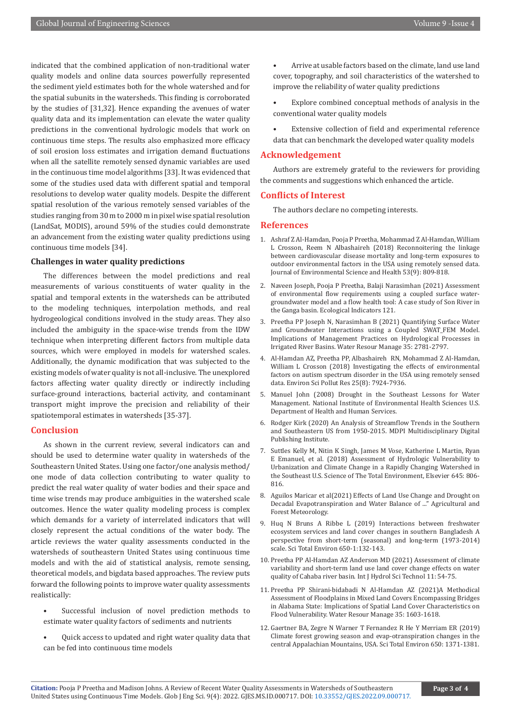indicated that the combined application of non-traditional water quality models and online data sources powerfully represented the sediment yield estimates both for the whole watershed and for the spatial subunits in the watersheds. This finding is corroborated by the studies of [31,32]. Hence expanding the avenues of water quality data and its implementation can elevate the water quality predictions in the conventional hydrologic models that work on continuous time steps. The results also emphasized more efficacy of soil erosion loss estimates and irrigation demand fluctuations when all the satellite remotely sensed dynamic variables are used in the continuous time model algorithms [33]. It was evidenced that some of the studies used data with different spatial and temporal resolutions to develop water quality models. Despite the different spatial resolution of the various remotely sensed variables of the studies ranging from 30 m to 2000 m in pixel wise spatial resolution (LandSat, MODIS), around 59% of the studies could demonstrate an advancement from the existing water quality predictions using continuous time models [34].

# **Challenges in water quality predictions**

The differences between the model predictions and real measurements of various constituents of water quality in the spatial and temporal extents in the watersheds can be attributed to the modeling techniques, interpolation methods, and real hydrogeological conditions involved in the study areas. They also included the ambiguity in the space-wise trends from the IDW technique when interpreting different factors from multiple data sources, which were employed in models for watershed scales. Additionally, the dynamic modification that was subjected to the existing models of water quality is not all-inclusive. The unexplored factors affecting water quality directly or indirectly including surface-ground interactions, bacterial activity, and contaminant transport might improve the precision and reliability of their spatiotemporal estimates in watersheds [35-37].

#### **Conclusion**

As shown in the current review, several indicators can and should be used to determine water quality in watersheds of the Southeastern United States. Using one factor/one analysis method/ one mode of data collection contributing to water quality to predict the real water quality of water bodies and their space and time wise trends may produce ambiguities in the watershed scale outcomes. Hence the water quality modeling process is complex which demands for a variety of interrelated indicators that will closely represent the actual conditions of the water body. The article reviews the water quality assessments conducted in the watersheds of southeastern United States using continuous time models and with the aid of statistical analysis, remote sensing, theoretical models, and bigdata based approaches. The review puts forward the following points to improve water quality assessments realistically:

- Successful inclusion of novel prediction methods to estimate water quality factors of sediments and nutrients
- Quick access to updated and right water quality data that can be fed into continuous time models

• Arrive at usable factors based on the climate, land use land cover, topography, and soil characteristics of the watershed to improve the reliability of water quality predictions

- Explore combined conceptual methods of analysis in the conventional water quality models
- Extensive collection of field and experimental reference data that can benchmark the developed water quality models

#### **Acknowledgement**

Authors are extremely grateful to the reviewers for providing the comments and suggestions which enhanced the article.

#### **Conflicts of Interest**

The authors declare no competing interests.

#### **References**

- 1. [Ashraf Z Al-Hamdan, Pooja P Preetha, Mohammad Z Al-Hamdan, William](https://pubmed.ncbi.nlm.nih.gov/29517416/) [L Crosson, Reem N Albashaireh \(2018\) Reconnoitering the linkage](https://pubmed.ncbi.nlm.nih.gov/29517416/) [between cardiovascular disease mortality and long-term exposures to](https://pubmed.ncbi.nlm.nih.gov/29517416/) [outdoor environmental factors in the USA using remotely sensed data.](https://pubmed.ncbi.nlm.nih.gov/29517416/) [Journal of Environmental Science and Health 53\(9\): 809-818.](https://pubmed.ncbi.nlm.nih.gov/29517416/)
- 2. [Naveen Joseph, Pooja P Preetha, Balaji Narasimhan \(2021\) Assessment](https://www.sciencedirect.com/science/article/pii/S1470160X20310499) [of environmental flow requirements using a coupled surface water](https://www.sciencedirect.com/science/article/pii/S1470160X20310499)[groundwater model and a flow health tool: A case study of Son River in](https://www.sciencedirect.com/science/article/pii/S1470160X20310499) [the Ganga basin. Ecological Indicators 121.](https://www.sciencedirect.com/science/article/pii/S1470160X20310499)
- 3. Preetha PP Joseph N, Narasimhan B (2021) Quantifying Surface Water and Groundwater Interactions using a Coupled SWAT\_FEM Model. Implications of Management Practices on Hydrological Processes in Irrigated River Basins. Water Resour Manage 35: 2781-2797.
- 4. [Al-Hamdan AZ, Preetha PP, Albashaireh RN, Mohammad Z Al-Hamdan,](https://pubmed.ncbi.nlm.nih.gov/29299867/) [William L Crosson \(2018\) Investigating the effects of environmental](https://pubmed.ncbi.nlm.nih.gov/29299867/) [factors on autism spectrum disorder in the USA using remotely sensed](https://pubmed.ncbi.nlm.nih.gov/29299867/) [data. Environ Sci Pollut Res 25\(8\): 7924-7936.](https://pubmed.ncbi.nlm.nih.gov/29299867/)
- 5. [Manuel John \(2008\) Drought in the Southeast Lessons for Water](https://www.ncbi.nlm.nih.gov/pmc/articles/PMC2291006/) [Management. National Institute of Environmental Health Sciences U.S.](https://www.ncbi.nlm.nih.gov/pmc/articles/PMC2291006/) [Department of Health and Human Services](https://www.ncbi.nlm.nih.gov/pmc/articles/PMC2291006/).
- 6. Rodger Kirk (2020) An Analysis of Streamflow Trends in the Southern and Southeastern US from 1950-2015. MDPI Multidisciplinary Digital Publishing Institute.
- 7. [Suttles Kelly M, Nitin K Singh, James M Vose, Katherine L Martin, Ryan](https://www.sciencedirect.com/science/article/abs/pii/S0048969718323635) [E Emanuel, et al. \(2018\) Assessment of Hydrologic Vulnerability to](https://www.sciencedirect.com/science/article/abs/pii/S0048969718323635) [Urbanization and Climate Change in a Rapidly Changing Watershed in](https://www.sciencedirect.com/science/article/abs/pii/S0048969718323635) [the Southeast U.S. Science of The Total Environment, Elsevier 645: 806-](https://www.sciencedirect.com/science/article/abs/pii/S0048969718323635) [816.](https://www.sciencedirect.com/science/article/abs/pii/S0048969718323635)
- 8. Aguilos Maricar et al(2021) Effects of Land Use Change and Drought on Decadal Evapotranspiration and Water Balance of ..." Agricultural and Forest Meteorology.
- 9. [Huq N Bruns A Ribbe L \(2019\) Interactions between freshwater](https://www.sciencedirect.com/science/article/abs/pii/S0048969718334053) [ecosystem services and land cover changes in southern Bangladesh A](https://www.sciencedirect.com/science/article/abs/pii/S0048969718334053) [perspective from short-term \(seasonal\) and long-term \(1973-2014\)](https://www.sciencedirect.com/science/article/abs/pii/S0048969718334053) [scale. Sci Total Environ 650-1:132-143](https://www.sciencedirect.com/science/article/abs/pii/S0048969718334053).
- 10. [Preetha PP Al-Hamdan AZ Anderson MD \(2021\) Assessment of climate](https://www.inderscience.com/info/inarticle.php?artid=112656) [variability and short-term land use land cover change effects on water](https://www.inderscience.com/info/inarticle.php?artid=112656) [quality of Cahaba river basin. Int J Hydrol Sci Technol 11: 54-75.](https://www.inderscience.com/info/inarticle.php?artid=112656)
- 11. [Preetha PP Shirani-bidabadi N Al-Hamdan AZ \(2021\)A Methodical](https://pubag.nal.usda.gov/catalog/7344559) [Assessment of Floodplains in Mixed Land Covers Encompassing Bridges](https://pubag.nal.usda.gov/catalog/7344559) [in Alabama State: Implications of Spatial Land Cover Characteristics on](https://pubag.nal.usda.gov/catalog/7344559) [Flood Vulnerability. Water Resour Manage 35: 1603-1618.](https://pubag.nal.usda.gov/catalog/7344559)
- 12. [Gaertner BA, Zegre N Warner T Fernandez R He Y Merriam ER \(2019\)](https://www.sciencedirect.com/science/article/abs/pii/S004896971833571X) [Climate forest growing season and evap-otranspiration changes in the](https://www.sciencedirect.com/science/article/abs/pii/S004896971833571X) [central Appalachian Mountains, USA. Sci Total Environ 650: 1371-1381.](https://www.sciencedirect.com/science/article/abs/pii/S004896971833571X)